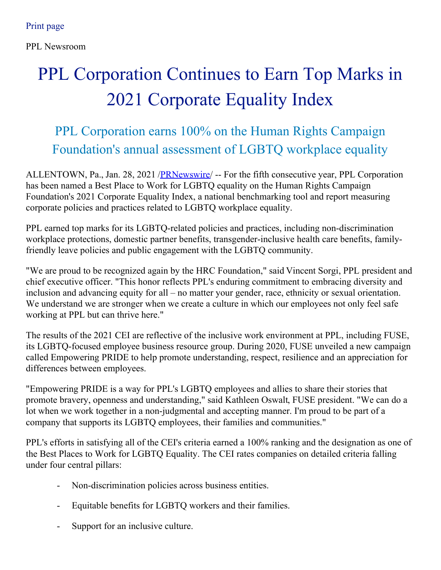PPL Newsroom

# PPL Corporation Continues to Earn Top Marks in 2021 Corporate Equality Index

## PPL Corporation earns 100% on the Human Rights Campaign Foundation's annual assessment of LGBTQ workplace equality

ALLENTOWN, Pa., Jan. 28, 2021 [/PRNewswire](http://www.prnewswire.com/)/ -- For the fifth consecutive year, PPL Corporation has been named a Best Place to Work for LGBTQ equality on the Human Rights Campaign Foundation's 2021 Corporate Equality Index, a national benchmarking tool and report measuring corporate policies and practices related to LGBTQ workplace equality.

PPL earned top marks for its LGBTQ-related policies and practices, including non-discrimination workplace protections, domestic partner benefits, transgender-inclusive health care benefits, familyfriendly leave policies and public engagement with the LGBTQ community.

"We are proud to be recognized again by the HRC Foundation," said Vincent Sorgi, PPL president and chief executive officer. "This honor reflects PPL's enduring commitment to embracing diversity and inclusion and advancing equity for all – no matter your gender, race, ethnicity or sexual orientation. We understand we are stronger when we create a culture in which our employees not only feel safe working at PPL but can thrive here."

The results of the 2021 CEI are reflective of the inclusive work environment at PPL, including FUSE, its LGBTQ-focused employee business resource group. During 2020, FUSE unveiled a new campaign called Empowering PRIDE to help promote understanding, respect, resilience and an appreciation for differences between employees.

"Empowering PRIDE is a way for PPL's LGBTQ employees and allies to share their stories that promote bravery, openness and understanding," said Kathleen Oswalt, FUSE president. "We can do a lot when we work together in a non-judgmental and accepting manner. I'm proud to be part of a company that supports its LGBTQ employees, their families and communities."

PPL's efforts in satisfying all of the CEI's criteria earned a 100% ranking and the designation as one of the Best Places to Work for LGBTQ Equality. The CEI rates companies on detailed criteria falling under four central pillars:

- Non-discrimination policies across business entities.
- Equitable benefits for LGBTQ workers and their families.
- Support for an inclusive culture.